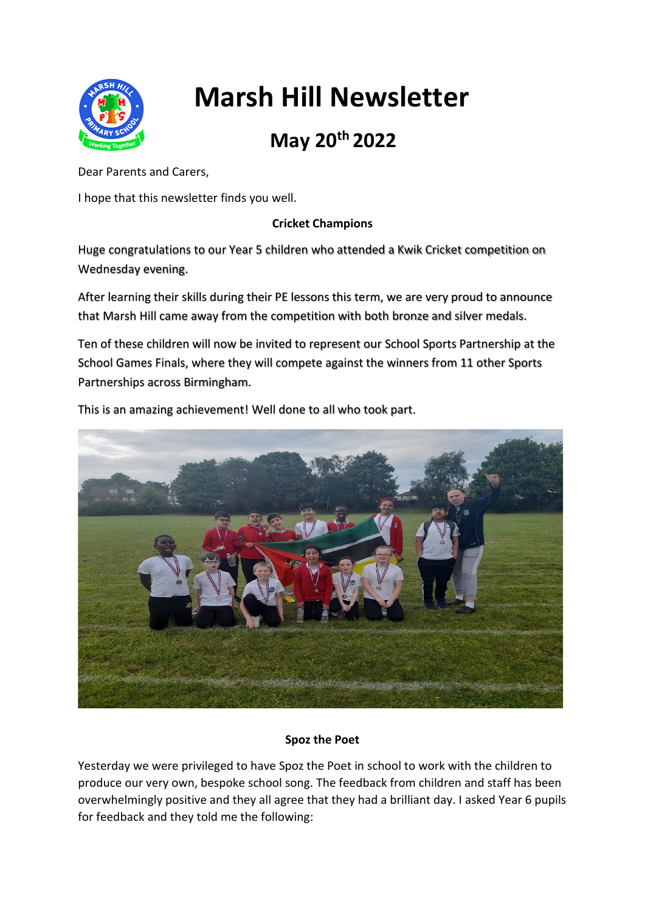

# **Marsh Hill Newsletter**

# **May 20th 2022**

Dear Parents and Carers,

I hope that this newsletter finds you well.

### **Cricket Champions**

Huge congratulations to our Year 5 children who attended a Kwik Cricket competition on Wednesday evening.

After learning their skills during their PE lessons this term, we are very proud to announce that Marsh Hill came away from the competition with both bronze and silver medals.

Ten of these children will now be invited to represent our School Sports Partnership at the School Games Finals, where they will compete against the winners from 11 other Sports Partnerships across Birmingham.



This is an amazing achievement! Well done to all who took part.

## **Spoz the Poet**

Yesterday we were privileged to have Spoz the Poet in school to work with the children to produce our very own, bespoke school song. The feedback from children and staff has been overwhelmingly positive and they all agree that they had a brilliant day. I asked Year 6 pupils for feedback and they told me the following: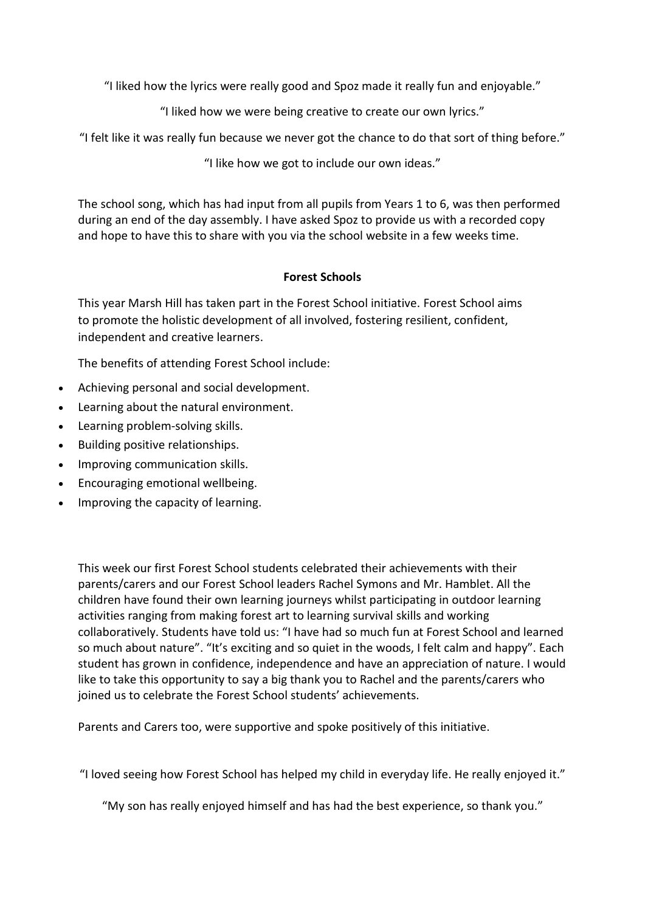"I liked how the lyrics were really good and Spoz made it really fun and enjoyable."

"I liked how we were being creative to create our own lyrics."

"I felt like it was really fun because we never got the chance to do that sort of thing before."

"I like how we got to include our own ideas."

The school song, which has had input from all pupils from Years 1 to 6, was then performed during an end of the day assembly. I have asked Spoz to provide us with a recorded copy and hope to have this to share with you via the school website in a few weeks time.

#### **Forest Schools**

This year Marsh Hill has taken part in the Forest School initiative. Forest School aims to promote the holistic development of all involved, fostering resilient, confident, independent and creative learners.

The benefits of attending Forest School include:

- Achieving personal and social development.
- Learning about the natural environment.
- Learning problem-solving skills.
- Building positive relationships.
- Improving communication skills.
- Encouraging emotional wellbeing.
- Improving the capacity of learning.

This week our first Forest School students celebrated their achievements with their parents/carers and our Forest School leaders Rachel Symons and Mr. Hamblet. All the children have found their own learning journeys whilst participating in outdoor learning activities ranging from making forest art to learning survival skills and working collaboratively. Students have told us: "I have had so much fun at Forest School and learned so much about nature". "It's exciting and so quiet in the woods, I felt calm and happy". Each student has grown in confidence, independence and have an appreciation of nature. I would like to take this opportunity to say a big thank you to Rachel and the parents/carers who joined us to celebrate the Forest School students' achievements.

Parents and Carers too, were supportive and spoke positively of this initiative.

"I loved seeing how Forest School has helped my child in everyday life. He really enjoyed it."

"My son has really enjoyed himself and has had the best experience, so thank you."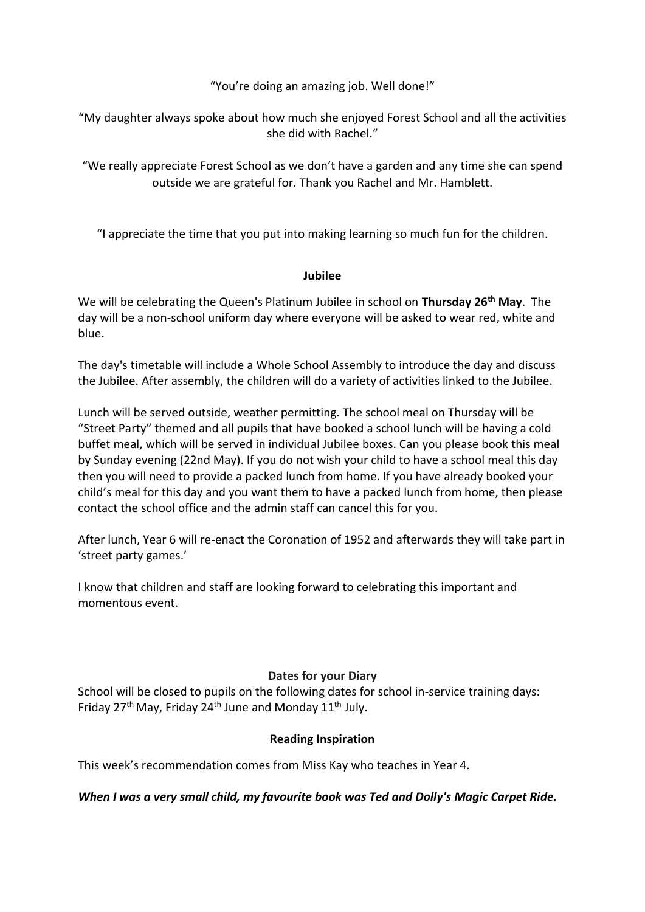"You're doing an amazing job. Well done!"

"My daughter always spoke about how much she enjoyed Forest School and all the activities she did with Rachel."

"We really appreciate Forest School as we don't have a garden and any time she can spend outside we are grateful for. Thank you Rachel and Mr. Hamblett.

"I appreciate the time that you put into making learning so much fun for the children.

#### **Jubilee**

We will be celebrating the Queen's Platinum Jubilee in school on **Thursday 26th May**. The day will be a non-school uniform day where everyone will be asked to wear red, white and blue.

The day's timetable will include a Whole School Assembly to introduce the day and discuss the Jubilee. After assembly, the children will do a variety of activities linked to the Jubilee.

Lunch will be served outside, weather permitting. The school meal on Thursday will be "Street Party" themed and all pupils that have booked a school lunch will be having a cold buffet meal, which will be served in individual Jubilee boxes. Can you please book this meal by Sunday evening (22nd May). If you do not wish your child to have a school meal this day then you will need to provide a packed lunch from home. If you have already booked your child's meal for this day and you want them to have a packed lunch from home, then please contact the school office and the admin staff can cancel this for you.

After lunch, Year 6 will re-enact the Coronation of 1952 and afterwards they will take part in 'street party games.'

I know that children and staff are looking forward to celebrating this important and momentous event.

#### **Dates for your Diary**

School will be closed to pupils on the following dates for school in-service training days: Friday 27<sup>th</sup> May, Friday 24<sup>th</sup> June and Monday 11<sup>th</sup> July.

#### **Reading Inspiration**

This week's recommendation comes from Miss Kay who teaches in Year 4.

*When I was a very small child, my favourite book was Ted and Dolly's Magic Carpet Ride.*